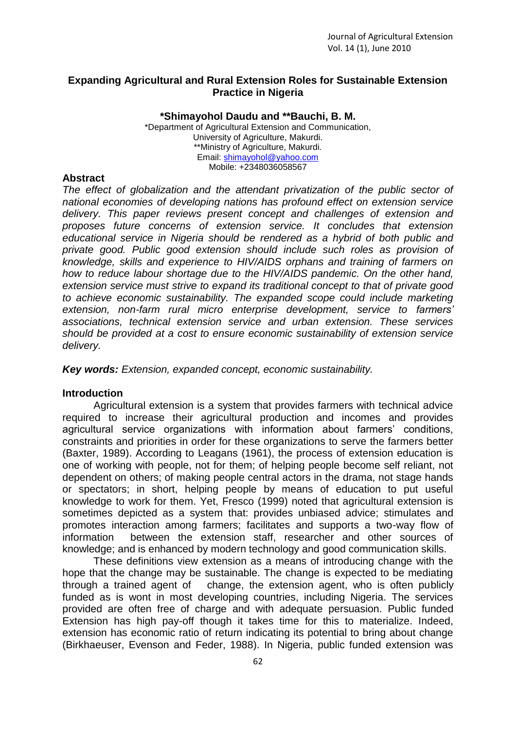# **Expanding Agricultural and Rural Extension Roles for Sustainable Extension Practice in Nigeria**

**\*Shimayohol Daudu and \*\*Bauchi, B. M.**

\*Department of Agricultural Extension and Communication, University of Agriculture, Makurdi. \*\*Ministry of Agriculture, Makurdi. Email: [shimayohol@yahoo.com](mailto:shimayohol@yahoo.com) Mobile: +2348036058567

## **Abstract**

The effect of globalization and the attendant privatization of the public sector of *national economies of developing nations has profound effect on extension service delivery. This paper reviews present concept and challenges of extension and proposes future concerns of extension service. It concludes that extension educational service in Nigeria should be rendered as a hybrid of both public and private good. Public good extension should include such roles as provision of knowledge, skills and experience to HIV/AIDS orphans and training of farmers on how to reduce labour shortage due to the HIV/AIDS pandemic. On the other hand, extension service must strive to expand its traditional concept to that of private good to achieve economic sustainability. The expanded scope could include marketing extension, non-farm rural micro enterprise development, service to farmers' associations, technical extension service and urban extension. These services should be provided at a cost to ensure economic sustainability of extension service delivery.* 

*Key words: Extension, expanded concept, economic sustainability.* 

# **Introduction**

Agricultural extension is a system that provides farmers with technical advice required to increase their agricultural production and incomes and provides agricultural service organizations with information about farmers' conditions, constraints and priorities in order for these organizations to serve the farmers better (Baxter, 1989). According to Leagans (1961), the process of extension education is one of working with people, not for them; of helping people become self reliant, not dependent on others; of making people central actors in the drama, not stage hands or spectators; in short, helping people by means of education to put useful knowledge to work for them. Yet, Fresco (1999) noted that agricultural extension is sometimes depicted as a system that: provides unbiased advice; stimulates and promotes interaction among farmers; facilitates and supports a two-way flow of information between the extension staff, researcher and other sources of knowledge; and is enhanced by modern technology and good communication skills.

These definitions view extension as a means of introducing change with the hope that the change may be sustainable. The change is expected to be mediating through a trained agent of change, the extension agent, who is often publicly funded as is wont in most developing countries, including Nigeria. The services provided are often free of charge and with adequate persuasion. Public funded Extension has high pay-off though it takes time for this to materialize. Indeed, extension has economic ratio of return indicating its potential to bring about change (Birkhaeuser, Evenson and Feder, 1988). In Nigeria, public funded extension was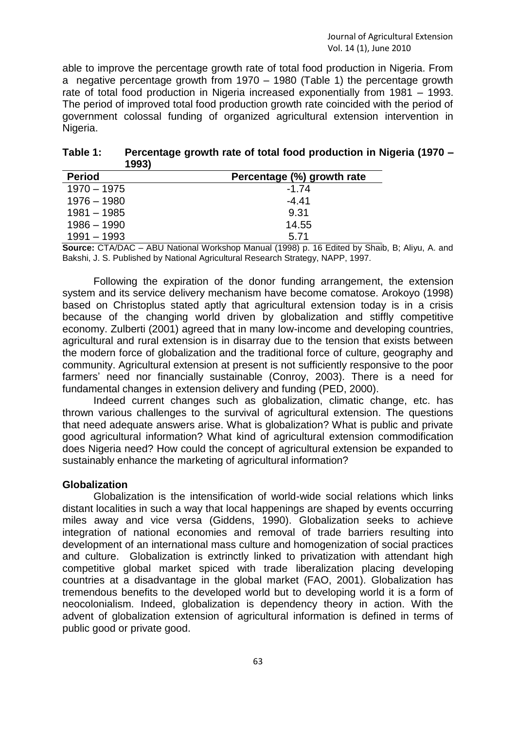able to improve the percentage growth rate of total food production in Nigeria. From a negative percentage growth from 1970 – 1980 (Table 1) the percentage growth rate of total food production in Nigeria increased exponentially from 1981 – 1993. The period of improved total food production growth rate coincided with the period of government colossal funding of organized agricultural extension intervention in Nigeria.

| 19931         |                            |
|---------------|----------------------------|
| <b>Period</b> | Percentage (%) growth rate |
| $1970 - 1975$ | $-1.74$                    |
| $1976 - 1980$ | -4.41                      |
| $1981 - 1985$ | 9.31                       |
| $1986 - 1990$ | 14.55                      |
| 1991 - 1993   | 5.71                       |

| Table 1: | Percentage growth rate of total food production in Nigeria (1970 - |
|----------|--------------------------------------------------------------------|
|          | 1993)                                                              |

**Source:** CTA/DAC – ABU National Workshop Manual (1998) p. 16 Edited by Shaib, B; Aliyu, A. and Bakshi, J. S. Published by National Agricultural Research Strategy, NAPP, 1997.

Following the expiration of the donor funding arrangement, the extension system and its service delivery mechanism have become comatose. Arokoyo (1998) based on Christoplus stated aptly that agricultural extension today is in a crisis because of the changing world driven by globalization and stiffly competitive economy. Zulberti (2001) agreed that in many low-income and developing countries, agricultural and rural extension is in disarray due to the tension that exists between the modern force of globalization and the traditional force of culture, geography and community. Agricultural extension at present is not sufficiently responsive to the poor farmers' need nor financially sustainable (Conroy, 2003). There is a need for fundamental changes in extension delivery and funding (PED, 2000).

Indeed current changes such as globalization, climatic change, etc. has thrown various challenges to the survival of agricultural extension. The questions that need adequate answers arise. What is globalization? What is public and private good agricultural information? What kind of agricultural extension commodification does Nigeria need? How could the concept of agricultural extension be expanded to sustainably enhance the marketing of agricultural information?

### **Globalization**

Globalization is the intensification of world-wide social relations which links distant localities in such a way that local happenings are shaped by events occurring miles away and vice versa (Giddens, 1990). Globalization seeks to achieve integration of national economies and removal of trade barriers resulting into development of an international mass culture and homogenization of social practices and culture. Globalization is extrinctly linked to privatization with attendant high competitive global market spiced with trade liberalization placing developing countries at a disadvantage in the global market (FAO, 2001). Globalization has tremendous benefits to the developed world but to developing world it is a form of neocolonialism. Indeed, globalization is dependency theory in action. With the advent of globalization extension of agricultural information is defined in terms of public good or private good.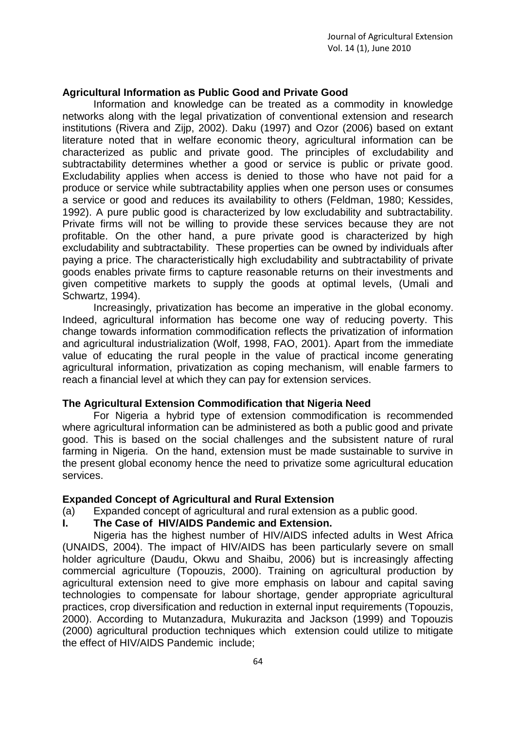### **Agricultural Information as Public Good and Private Good**

Information and knowledge can be treated as a commodity in knowledge networks along with the legal privatization of conventional extension and research institutions (Rivera and Zijp, 2002). Daku (1997) and Ozor (2006) based on extant literature noted that in welfare economic theory, agricultural information can be characterized as public and private good. The principles of excludability and subtractability determines whether a good or service is public or private good. Excludability applies when access is denied to those who have not paid for a produce or service while subtractability applies when one person uses or consumes a service or good and reduces its availability to others (Feldman, 1980; Kessides, 1992). A pure public good is characterized by low excludability and subtractability. Private firms will not be willing to provide these services because they are not profitable. On the other hand, a pure private good is characterized by high excludability and subtractability. These properties can be owned by individuals after paying a price. The characteristically high excludability and subtractability of private goods enables private firms to capture reasonable returns on their investments and given competitive markets to supply the goods at optimal levels, (Umali and Schwartz, 1994).

Increasingly, privatization has become an imperative in the global economy. Indeed, agricultural information has become one way of reducing poverty. This change towards information commodification reflects the privatization of information and agricultural industrialization (Wolf, 1998, FAO, 2001). Apart from the immediate value of educating the rural people in the value of practical income generating agricultural information, privatization as coping mechanism, will enable farmers to reach a financial level at which they can pay for extension services.

### **The Agricultural Extension Commodification that Nigeria Need**

For Nigeria a hybrid type of extension commodification is recommended where agricultural information can be administered as both a public good and private good. This is based on the social challenges and the subsistent nature of rural farming in Nigeria. On the hand, extension must be made sustainable to survive in the present global economy hence the need to privatize some agricultural education services.

### **Expanded Concept of Agricultural and Rural Extension**

(a) Expanded concept of agricultural and rural extension as a public good.

### **I. The Case of HIV/AIDS Pandemic and Extension.**

Nigeria has the highest number of HIV/AIDS infected adults in West Africa (UNAIDS, 2004). The impact of HIV/AIDS has been particularly severe on small holder agriculture (Daudu, Okwu and Shaibu, 2006) but is increasingly affecting commercial agriculture (Topouzis, 2000). Training on agricultural production by agricultural extension need to give more emphasis on labour and capital saving technologies to compensate for labour shortage, gender appropriate agricultural practices, crop diversification and reduction in external input requirements (Topouzis, 2000). According to Mutanzadura, Mukurazita and Jackson (1999) and Topouzis (2000) agricultural production techniques which extension could utilize to mitigate the effect of HIV/AIDS Pandemic include;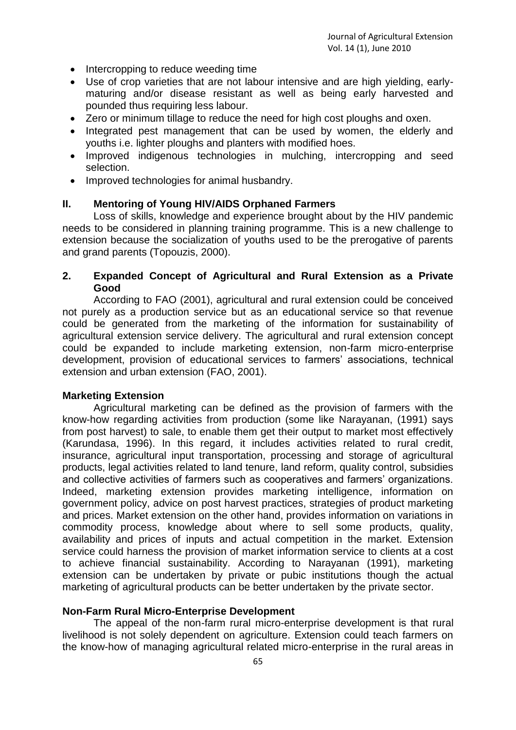- Intercropping to reduce weeding time
- Use of crop varieties that are not labour intensive and are high yielding, earlymaturing and/or disease resistant as well as being early harvested and pounded thus requiring less labour.
- Zero or minimum tillage to reduce the need for high cost ploughs and oxen.
- Integrated pest management that can be used by women, the elderly and youths i.e. lighter ploughs and planters with modified hoes.
- Improved indigenous technologies in mulching, intercropping and seed selection.
- Improved technologies for animal husbandry.

## **II. Mentoring of Young HIV/AIDS Orphaned Farmers**

Loss of skills, knowledge and experience brought about by the HIV pandemic needs to be considered in planning training programme. This is a new challenge to extension because the socialization of youths used to be the prerogative of parents and grand parents (Topouzis, 2000).

# **2. Expanded Concept of Agricultural and Rural Extension as a Private Good**

According to FAO (2001), agricultural and rural extension could be conceived not purely as a production service but as an educational service so that revenue could be generated from the marketing of the information for sustainability of agricultural extension service delivery. The agricultural and rural extension concept could be expanded to include marketing extension, non-farm micro-enterprise development, provision of educational services to farmers' associations, technical extension and urban extension (FAO, 2001).

### **Marketing Extension**

Agricultural marketing can be defined as the provision of farmers with the know-how regarding activities from production (some like Narayanan, (1991) says from post harvest) to sale, to enable them get their output to market most effectively (Karundasa, 1996). In this regard, it includes activities related to rural credit, insurance, agricultural input transportation, processing and storage of agricultural products, legal activities related to land tenure, land reform, quality control, subsidies and collective activities of farmers such as cooperatives and farmers' organizations. Indeed, marketing extension provides marketing intelligence, information on government policy, advice on post harvest practices, strategies of product marketing and prices. Market extension on the other hand, provides information on variations in commodity process, knowledge about where to sell some products, quality, availability and prices of inputs and actual competition in the market. Extension service could harness the provision of market information service to clients at a cost to achieve financial sustainability. According to Narayanan (1991), marketing extension can be undertaken by private or pubic institutions though the actual marketing of agricultural products can be better undertaken by the private sector.

#### **Non-Farm Rural Micro-Enterprise Development**

The appeal of the non-farm rural micro-enterprise development is that rural livelihood is not solely dependent on agriculture. Extension could teach farmers on the know-how of managing agricultural related micro-enterprise in the rural areas in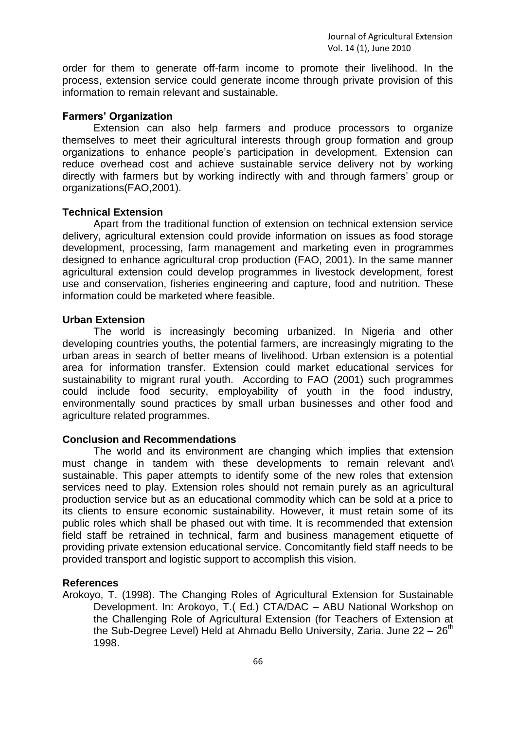order for them to generate off-farm income to promote their livelihood. In the process, extension service could generate income through private provision of this information to remain relevant and sustainable.

### **Farmers' Organization**

Extension can also help farmers and produce processors to organize themselves to meet their agricultural interests through group formation and group organizations to enhance people's participation in development. Extension can reduce overhead cost and achieve sustainable service delivery not by working directly with farmers but by working indirectly with and through farmers' group or organizations(FAO,2001).

### **Technical Extension**

Apart from the traditional function of extension on technical extension service delivery, agricultural extension could provide information on issues as food storage development, processing, farm management and marketing even in programmes designed to enhance agricultural crop production (FAO, 2001). In the same manner agricultural extension could develop programmes in livestock development, forest use and conservation, fisheries engineering and capture, food and nutrition. These information could be marketed where feasible.

## **Urban Extension**

The world is increasingly becoming urbanized. In Nigeria and other developing countries youths, the potential farmers, are increasingly migrating to the urban areas in search of better means of livelihood. Urban extension is a potential area for information transfer. Extension could market educational services for sustainability to migrant rural youth. According to FAO (2001) such programmes could include food security, employability of youth in the food industry, environmentally sound practices by small urban businesses and other food and agriculture related programmes.

# **Conclusion and Recommendations**

The world and its environment are changing which implies that extension must change in tandem with these developments to remain relevant and\ sustainable. This paper attempts to identify some of the new roles that extension services need to play. Extension roles should not remain purely as an agricultural production service but as an educational commodity which can be sold at a price to its clients to ensure economic sustainability. However, it must retain some of its public roles which shall be phased out with time. It is recommended that extension field staff be retrained in technical, farm and business management etiquette of providing private extension educational service. Concomitantly field staff needs to be provided transport and logistic support to accomplish this vision.

### **References**

Arokoyo, T. (1998). The Changing Roles of Agricultural Extension for Sustainable Development. In: Arokoyo, T.( Ed.) CTA/DAC – ABU National Workshop on the Challenging Role of Agricultural Extension (for Teachers of Extension at the Sub-Degree Level) Held at Ahmadu Bello University, Zaria. June  $22 - 26$ <sup>th</sup> 1998.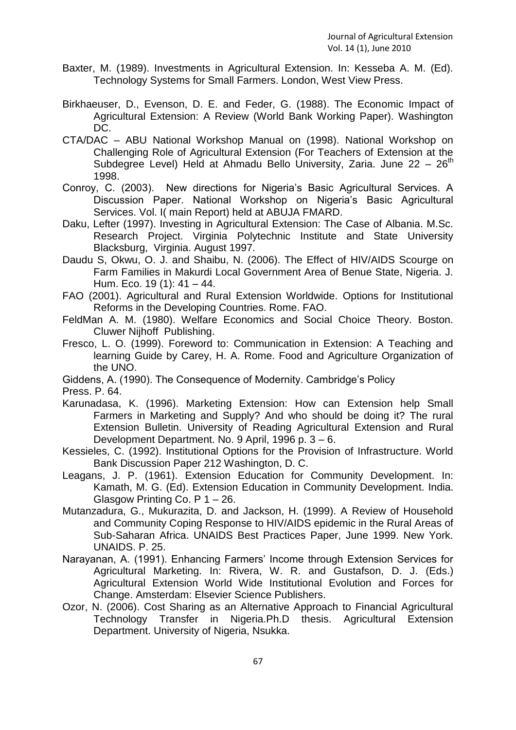- Baxter, M. (1989). Investments in Agricultural Extension. In: Kesseba A. M. (Ed). Technology Systems for Small Farmers. London, West View Press.
- Birkhaeuser, D., Evenson, D. E. and Feder, G. (1988). The Economic Impact of Agricultural Extension: A Review (World Bank Working Paper). Washington DC.
- CTA/DAC ABU National Workshop Manual on (1998). National Workshop on Challenging Role of Agricultural Extension (For Teachers of Extension at the Subdegree Level) Held at Ahmadu Bello University, Zaria. June  $22 - 26$ <sup>th</sup> 1998.
- Conroy, C. (2003). New directions for Nigeria's Basic Agricultural Services. A Discussion Paper. National Workshop on Nigeria's Basic Agricultural Services. Vol. I( main Report) held at ABUJA FMARD.
- Daku, Lefter (1997). Investing in Agricultural Extension: The Case of Albania. M.Sc. Research Project. Virginia Polytechnic Institute and State University Blacksburg, Virginia. August 1997.
- Daudu S, Okwu, O. J. and Shaibu, N. (2006). The Effect of HIV/AIDS Scourge on Farm Families in Makurdi Local Government Area of Benue State, Nigeria. J. Hum. Eco. 19 (1): 41 – 44.
- FAO (2001). Agricultural and Rural Extension Worldwide. Options for Institutional Reforms in the Developing Countries. Rome. FAO.
- FeldMan A. M. (1980). Welfare Economics and Social Choice Theory. Boston. Cluwer Nijhoff Publishing.
- Fresco, L. O. (1999). Foreword to: Communication in Extension: A Teaching and learning Guide by Carey, H. A. Rome. Food and Agriculture Organization of the UNO.
- Giddens, A. (1990). The Consequence of Modernity. Cambridge's Policy

Press. P. 64.

- Karunadasa, K. (1996). Marketing Extension: How can Extension help Small Farmers in Marketing and Supply? And who should be doing it? The rural Extension Bulletin. University of Reading Agricultural Extension and Rural Development Department. No. 9 April, 1996 p. 3 – 6.
- Kessieles, C. (1992). Institutional Options for the Provision of Infrastructure. World Bank Discussion Paper 212 Washington, D. C.
- Leagans, J. P. (1961). Extension Education for Community Development. In: Kamath, M. G. (Ed). Extension Education in Community Development. India. Glasgow Printing Co. P 1 – 26.
- Mutanzadura, G., Mukurazita, D. and Jackson, H. (1999). A Review of Household and Community Coping Response to HIV/AIDS epidemic in the Rural Areas of Sub-Saharan Africa. UNAIDS Best Practices Paper, June 1999. New York. UNAIDS. P. 25.
- Narayanan, A. (1991). Enhancing Farmers' Income through Extension Services for Agricultural Marketing. In: Rivera, W. R. and Gustafson, D. J. (Eds.) Agricultural Extension World Wide Institutional Evolution and Forces for Change. Amsterdam: Elsevier Science Publishers.
- Ozor, N. (2006). Cost Sharing as an Alternative Approach to Financial Agricultural Technology Transfer in Nigeria.Ph.D thesis. Agricultural Extension Department. University of Nigeria, Nsukka.